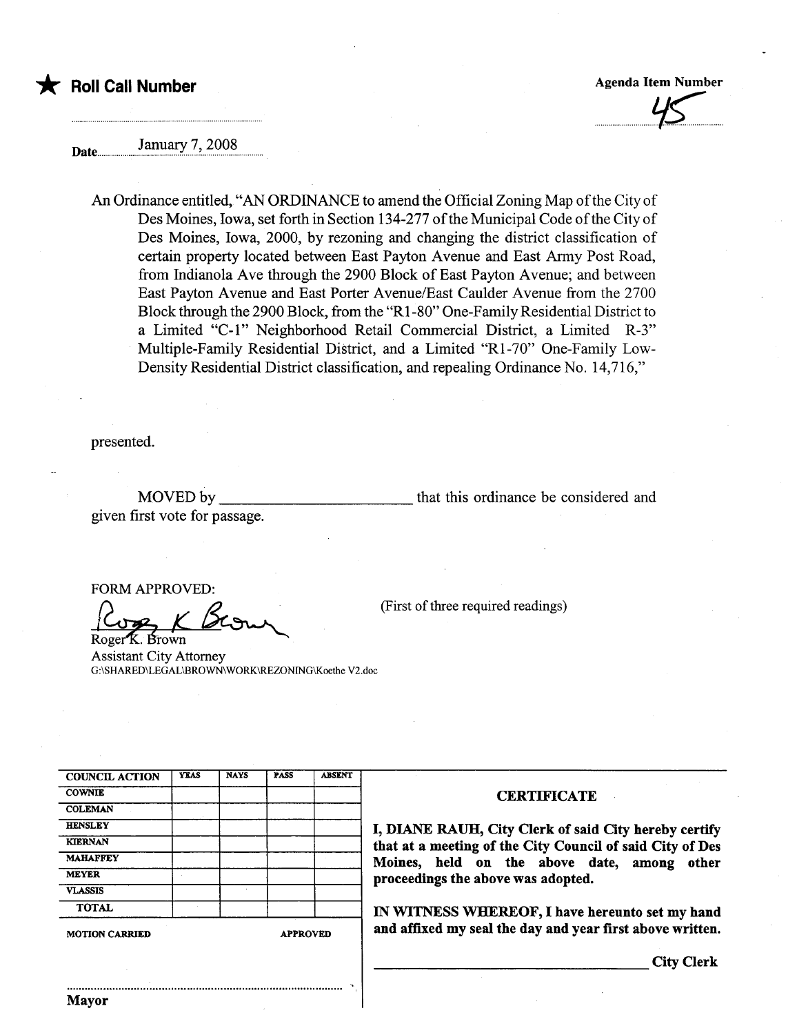

 $\overline{\mathcal{P}}$ 

January 7, 2008

An Ordinance entitled, "AN ORDINANCE to amend the Official Zoning Map of the City of Des Moines, Iowa, set forth in Section 134-277 of the Municipal Code of the City of Des Moines, Iowa, 2000, by rezoning and changing the district classification of certain property located between East Payton Avenue and East Army Post Road, from Indianola Ave through the 2900 Block of East Payton Avenue; and between East Payton Avenue and East Porter Avenue/East Caulder Avenue from the 2700 Block through the 2900 Block, from the "RI-80" One-Family Residential District to a Limited "C-L" Neighborhood Retail Commercial District, a Limited R-3" Multiple-Family Residential District, and a Limited "RI-70" One-Family Low-Density Residential District classification, and repealing Ordinance No. 14,716,"

presented.

MOVED by given first vote for passage. that this ordinance be considered and

,

FORM APPROVED:

Roger<sup>K</sup> Brown

Assistant City Attorney G:\SHARED\LEGAL\BROWN WORK\REZONING\Koethe V2.doc

| <b>COUNCIL ACTION</b> | <b>YEAS</b> | <b>NAYS</b>     | <b>PASS</b> | <b>ABSENT</b> |
|-----------------------|-------------|-----------------|-------------|---------------|
| <b>COWNIE</b>         |             |                 |             |               |
| <b>COLEMAN</b>        |             |                 |             |               |
| <b>HENSLEY</b>        |             |                 |             |               |
| <b>KIERNAN</b>        |             |                 |             |               |
| <b>MAHAFFEY</b>       |             |                 |             |               |
| <b>MEYER</b>          |             |                 |             |               |
| <b>VLASSIS</b>        |             |                 |             |               |
| <b>TOTAL</b>          |             |                 |             |               |
| <b>MOTION CARRIED</b> |             | <b>APPROVED</b> |             |               |

..........................................................................................

## **CERTIFICATE**

(First of three required readings)

I, DIANE RAUH, City Clerk of said City hereby certify that at a meeting of the City Council of said City of Des Moines, held on the above date, among other proceedings the above was adopted.

IN WITNESS WHEREOF, I have hereunto set my hand and affixed my seal the day and year first above written.

City Clerk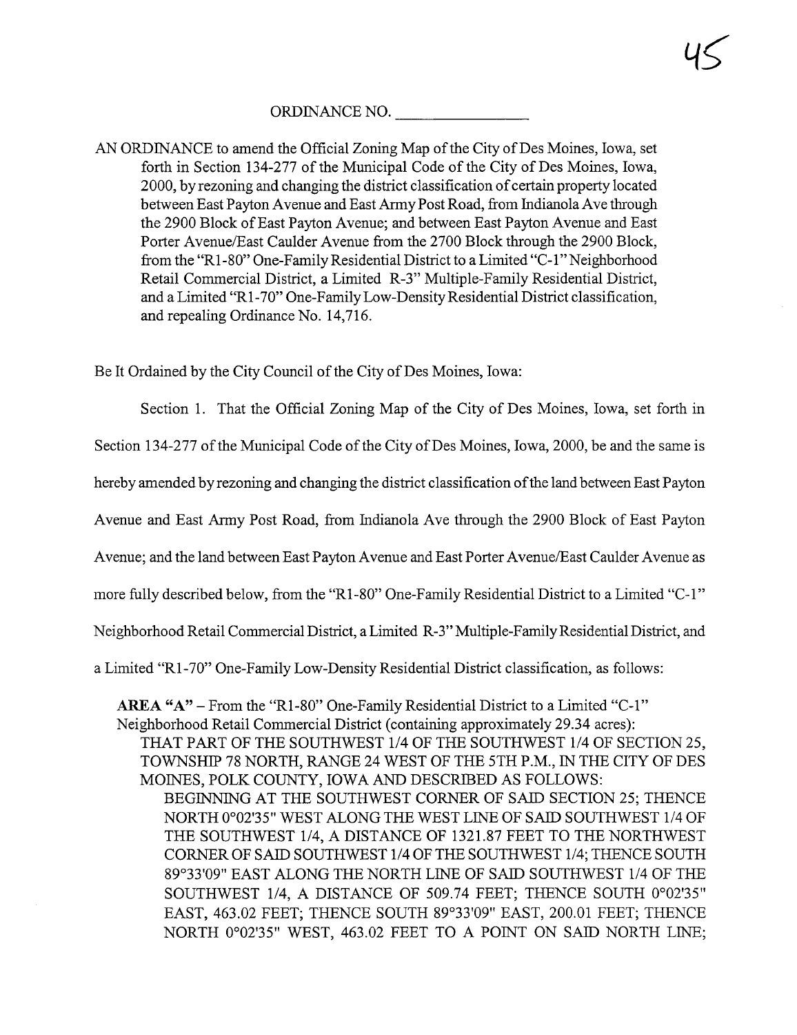ORDINANCE NO.

AN ORDINANCE to amend the Official Zoning Map of the City of Des Moines, Iowa, set forth in Section 134-277 of the Municipal Code of the City of Des Moines, Iowa, 2000, by rezoning and changing the district classification of certain property located between East Payton Avenue and East Army Post Road, from Indianola Ave through the 2900 Block of East Payton Avenue; and between East Payton Avenue and East Porter Avenue/East Caulder Avenue from the 2700 Block through the 2900 Block, from the "R1 -80" One-Family Residential District to a Limited "C- 1" Neighborhood Retail Commercial District, a Limited R-3" Multiple-Family Residential District, and a Limited "R1 -70" One-Family Low-Density Residential District classification, and repealing Ordinance No. 14,716.

Be It Ordained by the City Council of the City of Des Moines, Iowa:

Section 1. That the Official Zoning Map of the City of Des Moines, Iowa, set forth in

Section 134-277 of the Muncipal Code of the City of Des Moines, Iowa, 2000, be and the same is

hereby amended by rezoning and changing the district classification of the land between East Payton

Avenue and East Army Post Road, from Indianola Ave through the 2900 Block of East Payton

Avenue; and the land between East Payton Avenue and East Porter Avenue/East Caulder Avenue as

more fully described below, from the "R1-80" One-Family Residential District to a Limited "C-1"

Neighborhood Retail Commercial District, a Limited R-3" Multiple-Family Residential District, and

a Limited "R1-70" One-Family Low-Density Residential District classification, as follows:

AREA " $A$ " - From the "R1-80" One-Family Residential District to a Limited "C-1" Neighborhood Retail Commercial District (containig approximately 29.34 acres):

THAT PART OF THE SOUTHWEST 1/4 OF THE SOUTHWEST 1/4 OF SECTION 25, TOWNSHIP 78 NORTH, RANGE 24 WEST OF THE 5TH P.M., IN THE CITY OF DES MOINES, POLK COUNTY, IOWA AND DESCRIBED AS FOLLOWS:

BEGINNING AT THE SOUTHWEST CORNER OF SAID SECTION 25; THENCE NORTH 0°02'35" WEST ALONG THE WEST LINE OF SAID SOUTHWEST 1/4 OF THE SOUTHWEST 1/4, A DISTANCE OF 1321.87 FEET TO THE NORTHWEST CORNER OF SAID SOUTHWEST 1/4 OF THE SOUTHWEST 1/4; THENCE SOUTH 89°33'09" EAST ALONG THE NORTH LINE OF SAID SOUTHWEST 1/4 OF THE SOUTHWEST 1/4, A DISTANCE OF 509.74 FEET; THENCE SOUTH 0°02'35" EAST, 463.02 FEET; THENCE SOUTH 89°33'09" EAST, 200.01 FEET; THENCE NORTH 0°02'35" WEST, 463.02 FEET TO A POINT ON SAID NORTH LINE;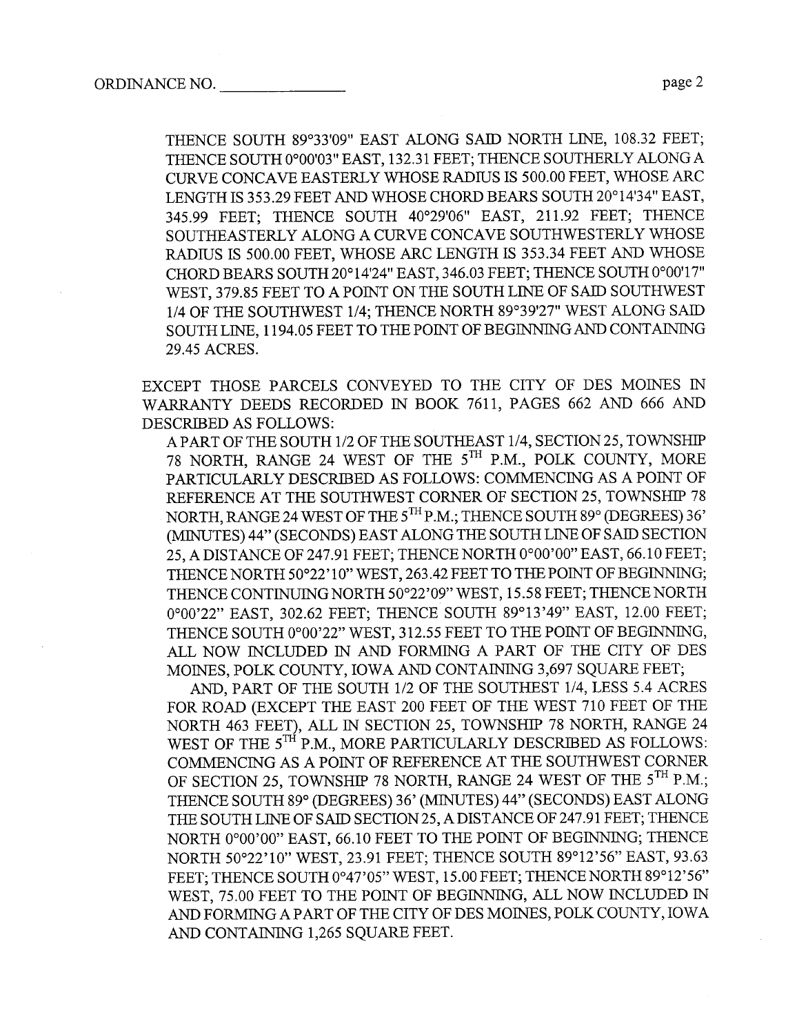THENCE SOUTH 89°33'09" EAST ALONG SAID NORTH LINE, 108.32 FEET; THENCE SOUTH 0°00'03" EAST, 132.31 FEET; THENCE SOUTHERLY ALONG A CURVE CONCAVE EASTERLY WHOSE RADIUS IS 500.00 FEET, WHOSE ARC LENGTH IS 353.29 FEET AND WHOSE CHORD BEARS SOUTH 20°14'34" EAST, 345.99 FEET; THENCE SOUTH 40°29'06" EAST, 211.92 FEET; THENCE SOUTHEASTERLY ALONG A CURVE CONCAVE SOUTHWESTERLY WHOSE RADIUS IS 500.00 FEET, WHOSE ARC LENGTH IS 353.34 FEET AND WHOSE CHORD BEARS SOUTH 20°14'24" EAST, 346.03 FEET; THENCE SOUTH 0°00'17" WEST, 379.85 FEET TO A POINT ON THE SOUTH LINE OF SAID SOUTHWEST 1/4 OF THE SOUTHWEST 1/4; THENCE NORTH 89°39'27" WEST ALONG SAI SOUTH LINE, 1194.05 FEET TO THE POINT OF BEGINNING AND CONTAINING 29.45 ACRES.

EXCEPT THOSE PARCELS CONVEYED TO THE CITY OF DES MOINS IN WARRANTY DEEDS RECORDED IN BOOK 7611, PAGES 662 AND 666 AND DESCRIED AS FOLLOWS:

APART OF THE SOUTH 1/2 OF THE SOUTHEAST 1/4, SECTION 25, TOWNSHI 78 NORTH, RANGE 24 WEST OF THE 5<sup>TH</sup> P.M., POLK COUNTY, MORE PARTICULARLY DESCRIBED AS FOLLOWS: COMMENCING AS A POINT OF REFERENCE AT THE SOUTHWEST CORNER OF SECTION 25, TOWNSHIP 78 NORTH, RANGE 24 WEST OF THE 5<sup>TH</sup> P.M.; THENCE SOUTH 89° (DEGREES) 36' (MINUTES) 44" (SECONDS) EAST ALONG THE SOUTH LINE OF SAID SECTION 25, A DISTANCE OF 247.91 FEET; THENCE NORTH 0°00'00" EAST, 66.10 FEET; THENCE NORTH 50°22'10" WEST, 263.42 FEET TO THE POINT OF BEGINNING; THENCE CONTINUING NORTH 50°22'09" WEST, 15.58 FEET; THENCE NORTH 0°00'22" EAST, 302.62 FEET; THENCE SOUTH 89°13'49" EAST, 12.00 FEET; THENCE SOUTH 0°00'22" WEST, 312.55 FEET TO THE POINT OF BEGINNING, ALL NOW INCLUDED IN AND FORMING A PART OF THE CITY OF DES MOINES, POLK COUNTY, IOWA AND CONTAINING 3,697 SQUARE FEET;

AND, PART OF THE SOUTH 1/2 OF THE SOUTHEST 1/4, LESS 5.4 ACRES FOR ROAD (EXCEPT THE EAST 200 FEET OF THE WEST 710 FEET OF THE NORTH 463 FEET), ALL IN SECTION 25, TOWNSHIP 78 NORTH, RANGE 24 WEST OF THE 5<sup>TH</sup> P.M., MORE PARTICULARLY DESCRIBED AS FOLLOWS: COMMENCING AS A POINT OF REFERENCE AT THE SOUTHWEST CORNER OF SECTION 25, TOWNSHIP 78 NORTH, RANGE 24 WEST OF THE 5<sup>TH</sup> P.M.; THENCE SOUTH 89° (DEGREES) 36' (MINUTES) 44" (SECONDS) EAST ALONG THE SOUTH LINE OF SAID SECTION 25, A DISTANCE OF 247.91 FEET; THENCE NORTH 0°00'00" EAST, 66.10 FEET TO THE POINT OF BEGINNING; THENCE NORTH 50°22'10" WEST, 23.91 FEET; THENCE SOUTH 89°12'56" EAST, 93.63 FEET; THENCE SOUTH 0°47'05" WEST, 15.00 FEET; THENCE NORTH 89°12'56" WEST, 75.00 FEET TO THE POINT OF BEGINNING, ALL NOW INCLUDED IN AND FORMING A PART OF THE CITY OF DES MOINES, POLK COUNTY, IOWA AND CONTAINING 1,265 SQUARE FEET.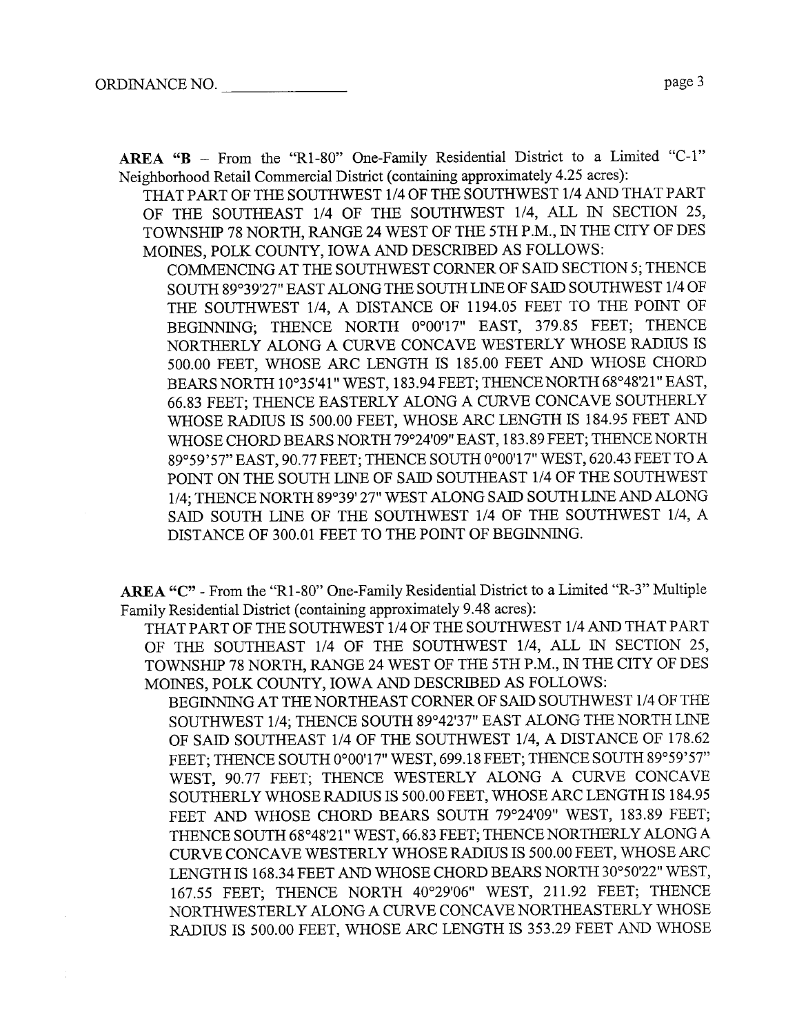AREA "B - From the "R1-80" One-Family Residential District to a Limited "C-1" Neighborhood Retail Commercial District (containing approximately 4.25 acres):

THAT PART OF THE SOUTHWEST 1/4 OF THE SOUTHWEST 1/4 AND THAT PART OF THE SOUTHEAST 1/4 OF THE SOUTHWST 1/4, ALL IN SECTION 25, TOWNSHIP 78 NORTH, RANGE 24 WEST OF THE 5TH P.M., IN THE CITY OF DES MOINES, POLK COUNTY, IOWA AND DESCRIBED AS FOLLOWS:

COMMENCING AT THE SOUTHWEST CORNER OF SAID SECTION 5; THENCE SOUTH 89°39'27" EAST ALONG THE SOUTH LINE OF SAID SOUTHWEST 1/4 OF THE SOUTHWEST 1/4, A DISTANCE OF 1194.05 FEET TO THE POINT OF BEGINNING; THENCE NORTH 0°00'17" EAST, 379.85 FEET; THENCE NORTHERLY ALONG A CURVE CONCAVE WESTERLY WHOSE RADIUS IS 500.00 FEET, WHOSE ARC LENGTH IS 185.00 FEET AND WHOSE CHORD BEARS NORTH 10°35'41" WEST, 183.94 FEET; THENCE NORTH 68°48'21" EAST, 66.83 FEET; THENCE EASTERLY ALONG A CURVE CONCAVE SOUTHERLY WHOSE RADIUS IS 500.00 FEET, WHOSE ARC LENGTH IS 184.95 FEET AND WHOSE CHORD BEARS NORTH 79°24'09" EAST, 183.89 FEET; THENCE NORTH 89°59'57" EAST, 90.77 FEET; THENCE SOUTH 0°00'17" WEST, 620.43 FEET TOA POINT ON THE SOUTH LINE OF SAID SOUTHEAST 1/4 OF THE SOUTHWEST 1/4; THENCE NORTH 89°39' 27" WEST ALONG SAID SOUTH LINE AND ALONG SAID SOUTH LINE OF THE SOUTHWEST 1/4 OF THE SOUTHWEST 1/4, A DISTANCE OF 300.01 FEET TO THE POINT OF BEGINNING.

AREA "C" - From the "R1-80" One-Family Residential District to a Limited "R-3" Multiple Family Residential District (containing approximately 9.48 acres):

THAT PART OF THE SOUTHWEST 1/4 OF THE SOUTHWEST 1/4 AND THAT PART OF THE SOUTHEAST 1/4 OF THE SOUTHWST 1/4, ALL IN SECTION 25, TOWNSHIP 78 NORTH, RANGE 24 WEST OF THE 5TH P.M., IN THE CITY OF DES MOINES, POLK COUNTY, IOWA AND DESCRIBED AS FOLLOWS:

BEGINNING AT THE NORTHEAST CORNER OF SAID SOUTHWEST 1/4 OF THE SOUTHWEST 1/4; THENCE SOUTH 89°42'37" EAST ALONG THE NORTH LIN OF SAID SOUTHEAST 1/4 OF THE SOUTHWEST 1/4, A DISTANCE OF 178.62 FEET; THENCE SOUTH 0°00'17" WEST, 699.18 FEET; THENCE SOUTH 89°59'57" WEST, 90.77 FEET; THENCE WESTERLY ALONG A CURVE CONCAVE SOUTHERLY WHOSE RADIUS IS 500.00 FEET, WHOSE ARC LENGTH IS 184.95 FEET AND WHOSE CHORD BEARS SOUTH 79°24'09" WEST, 183.89 FEET; THENCE SOUTH 68°48'21" WEST, 66.83 FEET; THENCE NORTHERLY ALONG A CURVE CONCAVE WESTERLY WHOSE RADIUS IS 500.00 FEET, WHOSE ARC LENGTH IS 168.34 FEET AND WHOSE CHORD BEARS NORTH 30°50'22" WEST, 167.55 FEET; THENCE NORTH 40°29'06" WEST, 211.92 FEET; THENCE NORTHWESTERLY ALONG A CURVE CONCAVE NORTHEASTERLY WHOSE RADIUS IS 500.00 FEET, WHOSE ARC LENGTH IS 353.29 FEET AND WHOSE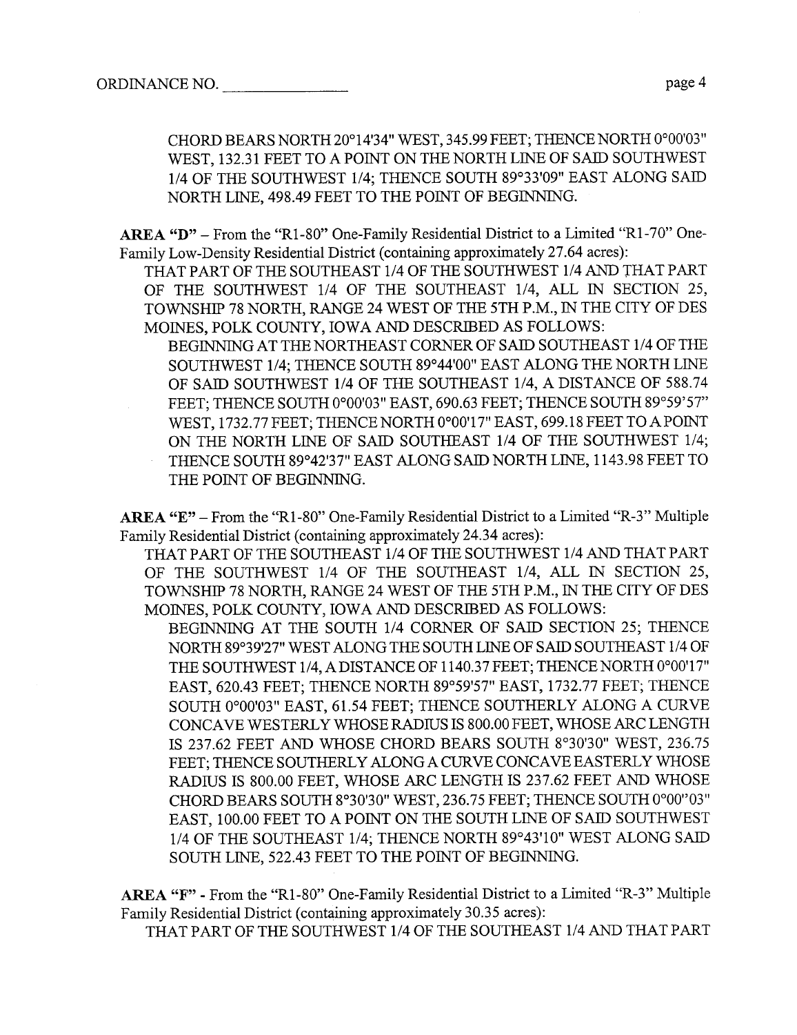CHORD BEARS NORTH 20°14'34" WEST, 345.99 FEET; THENCE NORTH 0°00'03" WEST, 132.31 FEET TO A POINT ON THE NORTH LINE OF SAID SOUTHWEST 1/4 OF THE SOUTHWEST 1/4; THENCE SOUTH 89°33'09" EAST ALONG SAI NORTH LINE, 498.49 FEET TO THE POINT OF BEGINNING.

AREA "D" - From the "R1-80" One-Family Residential District to a Limited "R1-70" One-Family Low-Density Residential District (containing approximately 27.64 acres):

THAT PART OF THE SOUTHEAST 1/4 OF THE SOUTHWEST 1/4 AND THAT PART OF THE SOUTHWEST 1/4 OF THE SOUTHEAST 1/4, ALL IN SECTION 25, TOWNSHIP 78 NORTH, RANGE 24 WEST OF THE 5TH P.M., IN THE CITY OF DES MOINES, POLK COUNTY, IOWA AND DESCRIBED AS FOLLOWS:

BEGINNING AT THE NORTHEAST CORNER OF SAID SOUTHEAST 1/4 OF THE SOUTHWST 1/4; THENCE SOUTH 89°44'00" EAST ALONG THE NORTH LIN OF SAID SOUTHWEST 1/4 OF THE SOUTHEAST 1/4, A DISTANCE OF 588.74 FEET: THENCE SOUTH 0°00'03" EAST, 690.63 FEET; THENCE SOUTH 89°59'57" WEST, 1732.77 FEET; THENCE NORTH 0°00'17" EAST, 699.18 FEET TO A POINT ON THE NORTH LINE OF SAID SOUTHEAST 1/4 OF THE SOUTHWEST 1/4; THENCE SOUTH 89°42'37" EAST ALONG SAID NORTH LINE, 1143.98 FEET TO THE POINT OF BEGINNING.

ARA "E" - From the "R1 -80" One-Family Residential District to a Limited "R-3" Multiple Famly Residential District (containig approximately 24.34 acres):

THAT PART OF THE SOUTHEAST 1/4 OF THE SOUTHWEST 1/4 AND THAT PART OF THE SOUTHWEST 1/4 OF THE SOUTHEAST 1/4, ALL IN SECTION 25, TOWNSHIP 78 NORTH, RANGE 24 WEST OF THE 5TH P.M., IN THE CITY OF DES MOINES, POLK COUNTY, IOWA AND DESCRIBED AS FOLLOWS:

BEGINNING AT THE SOUTH 1/4 CORNER OF SAID SECTION 25; THENCE NORTH 89°39'27" WEST ALONG THE SOUTH LINE OF SAID SOUTHEAST 1/4 OF THE SOUTHWST 1/4, A DISTANCE OF 1140.37 FEET; THENCE NORTH 0°00'17" EAST, 620.43 FEET; THENCE NORTH 89°59'57" EAST, 1732.77 FEET; THENCE SOUTH 0°00'03" EAST, 61.54 FEET; THENCE SOUTHERLY ALONG A CURVE CONCAVE WESTERLY WHOSE RADIUS IS 800.00 FEET, WHOSE ARC LENGTH IS 237.62 FEET AND WHOSE CHORD BEARS SOUTH 8°30'30" WEST, 236.75 FEET; THENCE SOUTHERLY ALONG A CURVE CONCAVE EASTERLY WHOSE RADIUS IS 800.00 FEET, WHOSE ARC LENGTH IS 237.62 FEET AND WHOSE CHORD BEARS SOUTH 8°30'30" WEST, 236.75 FEET; THENCE SOUTH 0°00"03" EAST, 100.00 FEET TO A POINT ON THE SOUTH LINE OF SAID SOUTHWEST 1/4 OF THE SOUTHEAST 1/4; THENCE NORTH 89°43'10" WEST ALONG SAI SOUTH LINE, 522.43 FEET TO THE POINT OF BEGINNING.

ARA "F" - From the "Rl-80" One-Family Residential District to a Limited "R-3" Multiple Family Residential District (containing approximately 30.35 acres):

THAT PART OF THE SOUTHWEST 1/4 OF THE SOUTHEAST 1/4 AND THAT PART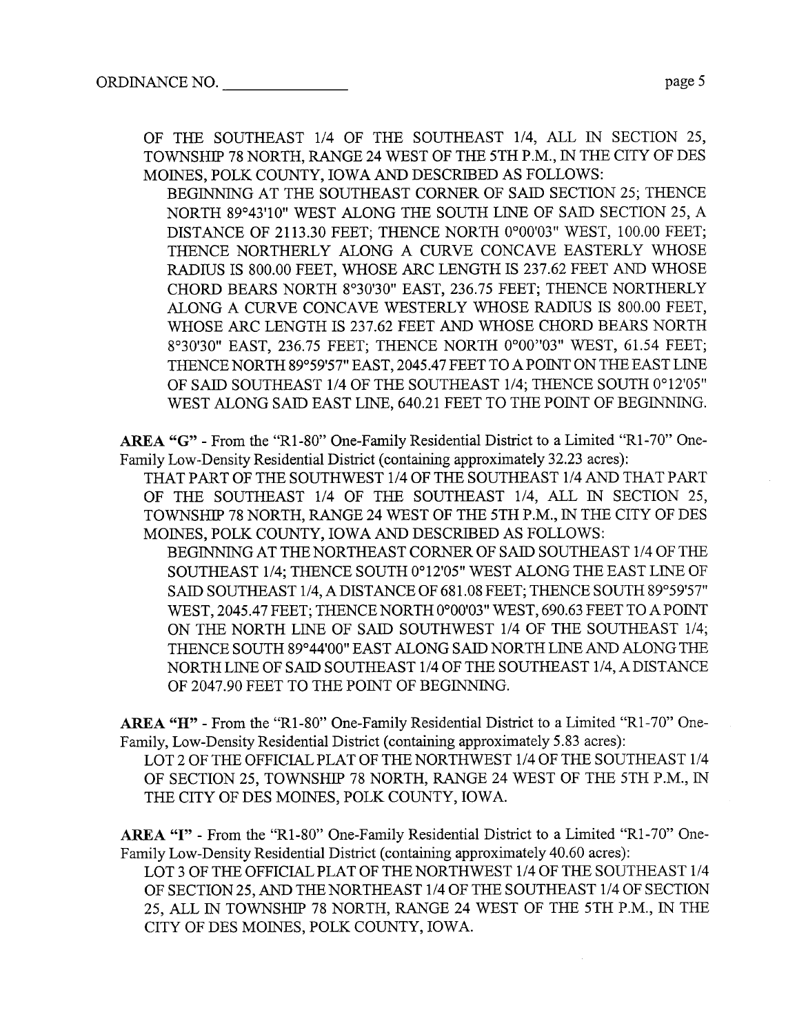OF THE SOUTHEAST 1/4 OF THE SOUTHEAST 1/4, ALL IN SECTION 25, TOWNSHIP 78 NORTH, RANGE 24 WEST OF THE 5TH P.M., IN THE CITY OF DES MOINES, POLK COUNTY, IOWA AND DESCRIBED AS FOLLOWS:

BEGINNING AT THE SOUTHEAST CORNER OF SAID SECTION 25; THENCE NORTH 89°43'10" WEST ALONG THE SOUTH LINE OF SAID SECTION 25, A DISTANCE OF 2113.30 FEET; THENCE NORTH 0°00'03" WEST, 100.00 FEET; THENCE NORTHERLY ALONG A CURVE CONCAVE EASTERLY WHOSE RADIUS IS 800.00 FEET, WHOSE ARC LENGTH IS 237.62 FEET AND WHOSE CHORD BEARS NORTH 8°30'30" EAST, 236.75 FEET; THENCE NORTHERLY ALONG A CURVE CONCAVE WESTERLY WHOSE RADIUS IS 800.00 FEET, WHOSE ARC LENGTH IS 237.62 FEET AND WHOSE CHORD BEARS NORTH 8°30'30" EAST, 236.75 FEET; THENCE NORTH 0°00''03" WEST, 61.54 FEET; THENCE NORTH 89°59'57" EAST, 2045.47 FEET TO A POINT ON THE EAST LINE OF SAID SOUTHEAST 1/4 OF THE SOUTHEAST 1/4; THENCE SOUTH 0°12'05" WEST ALONG SAID EAST LINE, 640.21 FEET TO THE POINT OF BEGINNING.

ARA "G" - From the "Rl-80" One-Famly Residential District to a Limited "Rl-70" One-Family Low-Density Residential District (containig approximately 32.23 acres):

THAT PART OF THE SOUTHWEST 1/4 OF THE SOUTHEAST 1/4 AND THAT PART OF THE SOUTHEAST 1/4 OF THE SOUTHEAST 1/4, ALL IN SECTION 25, TOWNSHIP 78 NORTH, RANGE 24 WEST OF THE 5TH P.M., IN THE CITY OF DES MOINES, POLK COUNTY, IOWA AND DESCRIBED AS FOLLOWS:

BEGINNING AT THE NORTHEAST CORNER OF SAID SOUTHEAST 1/4 OF THE SOUTHEAST 1/4; THENCE SOUTH 0°12'05" WEST ALONG THE EAST LINE OF SAID SOUTHEAST 1/4, A DISTANCE OF 681.08 FEET; THENCE SOUTH 89°59'57" WEST, 2045.47 FEET; THENCE NORTH 0°00'03" WEST, 690.63 FEET TO A POINT ON THE NORTH LINE OF SAID SOUTHWEST 1/4 OF THE SOUTHEAST 1/4; THENCE SOUTH 89°44'00" EAST ALONG SAID NORTH LINE AND ALONG THE NORTH LINE OF SAID SOUTHEAST 1/4 OF THE SOUTHEAST 1/4, A DISTANCE OF 2047.90 FEET TO THE POINT OF BEGINNING.

ARA "H" - From the "Rl-80" One-Family Residential District to a Limited "Rl-70" One-Family, Low-Density Residential District (containing approximately 5.83 acres):

LOT 2 OF THE OFFICIAL PLAT OF THE NORTHWEST 1/4 OF THE SOUTHEAST 1/4 OF SECTION 25, TOWNSHIP 78 NORTH, RANGE 24 WEST OF THE 5TH P.M., IN THE CITY OF DES MOINS, POLK COUNTY, IOWA.

AREA "I" - From the "R1-80" One-Family Residential District to a Limited "R1-70" One-Family Low-Density Residential District (containing approximately 40.60 acres):

LOT 3 OF THE OFFICIAL PLAT OF THE NORTHWEST 1/4 OF THE SOUTHEAST 1/4 OF SECTION 25, AND THE NORTHEAST 1/4 OF THE SOUTHEAST 1/4 OF SECTION 25, ALL IN TOWNSHIP 78 NORTH, RAGE 24 WEST OF THE 5TH P.M., IN THE CITY OF DES MOINS, POLK COUNTY, IOWA.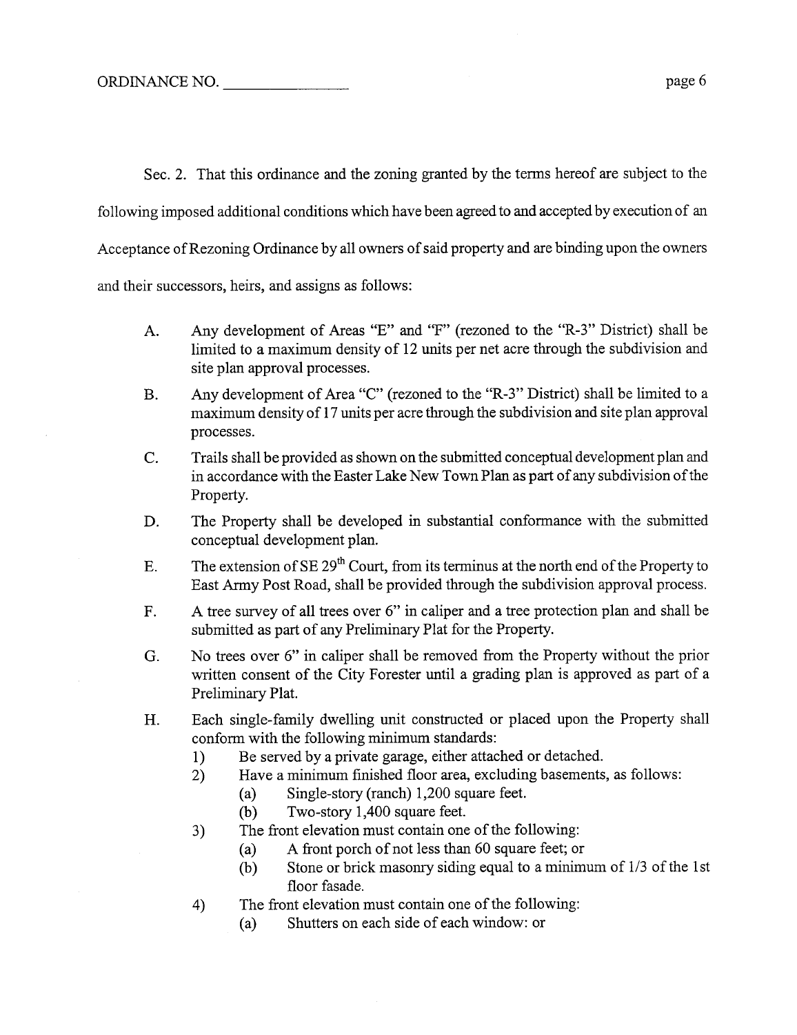Sec. 2. That this ordinance and the zoning granted by the terms hereof are subject to the

following imposed additional conditions which have been agreed to and accepted by execution of an

Acceptance of Rezoning Ordinance by all owners of said property and are binding upon the owners

and their successors, heirs, and assigns as follows:

- A. Any development of Areas "E" and "F" (rezoned to the "R-3" District) shall be limited to a maximum density of 12 unts per net acre through the subdivision and site plan approval processes.
- B. Any development of Area "C" (rezoned to the "R-3" District) shall be limited to a maximum density of 17 unts per acre through the subdivision and site plan approval processes.
- C. Trails shall be provided as shown on the submitted conceptual development plan and in accordance with the Easter Lake New Town Plan as part of any subdivision of the Property.
- D. The Property shall be developed in substantial conformance with the submitted conceptual development plan.
- E. The extension of SE  $29<sup>th</sup>$  Court, from its terminus at the north end of the Property to East Army Post Road, shall be provided through the subdivision approval process.
- F. A tree survey of all trees over 6" in caliper and a tree protection plan and shall be submitted as part of any Preliminary Plat for the Property.
- G. No trees over 6" in caliper shall be removed from the Property without the prior written consent of the City Forester until a grading plan is approved as part of a Preliminary Plat.
- H. Each single-family dwelling unit constructed or placed upon the Property shall conform with the following minimum standards:
	- 1) Be served by a private garage, either attached or detached.
	- 2) Have a minimum finshed floor area, excluding basements, as follows:
		- (a) Single-story (ranch) 1,200 square feet.<br>
		(b) Two-story 1,400 square feet.
		- Two-story 1,400 square feet.
	- 3) The front elevation must contain one of the following:
		- (a) A front porch of not less than 60 square feet; or
		- (b) Stone or brick masonry siding equal to a minimum of  $1/3$  of the 1st floor fasade.
	- 4) The front elevation must contain one of the following:
		- (a) Shutters on each side of each window: or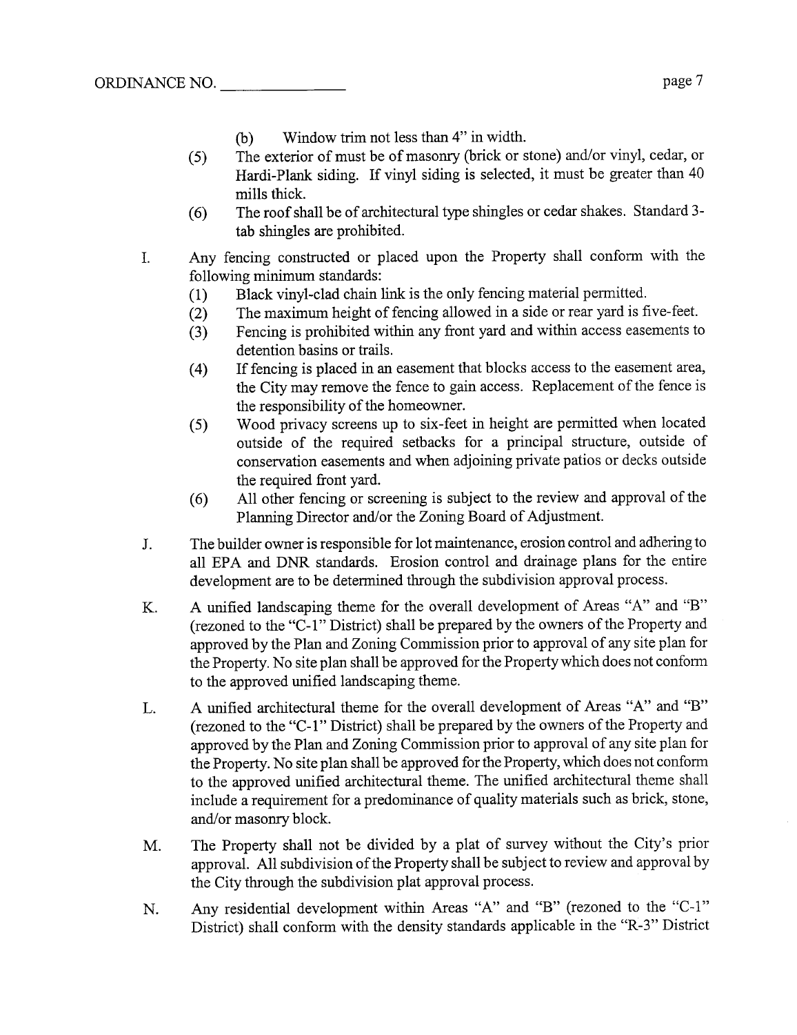- (b) Window trim not less than 4" in width.
- (5) The exterior of must be of masonry (brick or stone) and/or vinyl, cedar, or Hardi-Plank siding. If vinyl siding is selected, it must be greater than 40 mills thick.
- (6) The roof shall be of architectural tye shingles or cedar shakes. Standard 3 tab shingles are prohibited.
- I. Any fencing constructed or placed upon the Property shall conform with the following minimum standards:
	-
	- (1) Black vinyl-clad chain link is the only fencing material permitted.<br>
	(2) The maximum height of fencing allowed in a side or rear yard is f The maximum height of fencing allowed in a side or rear yard is five-feet.
	- (3) Fencing is prohibited within any front yard and within access easements to detention basins or trails.
	- (4) If fencing is placed in an easement that blocks access to the easement area, the City may remove the fence to gain access. Replacement of the fence is the responsibility of the homeowner.
	- (5) Wood privacy screens up to six-feet in height are permitted when located outside of the required setbacks for a principal structure, outside of conservation easements and when adjoining private patios or decks outside the required front yard.
	- (6) All other fencing or screening is subject to the review and approval of the Planning Director and/or the Zoning Board of Adjustment.
- J. The builder owner is responsible for lot maintenance, erosion control and adherig to all EPA and DNR standards. Erosion control and drainage plans for the entire development are to be determined through the subdivision approval process.
- K. A unified landscaping theme for the overall development of Areas "A" and "B" (rezoned to the "C-1" District) shall be prepared by the owners of the Property and approved by the Plan and Zoning Commission prior to approval of any site plan for the Property. No site plan shall be approved for the Property which does not conform to the approved unfied landscaping theme.
- L. A unified architectural theme for the overall development of Areas "A" and "B" (rezoned to the "C-1" District) shall be prepared by the owners of the Property and approved by the Plan and Zoning Commission prior to approval of any site plan for the Property. No site plan shall be approved for the Property, which does not conform to the approved unified architectural theme. The unified architectural theme shall include a requirement for a predominance of quality materials such as brick, stone, and/or masonry block.
- M. The Property shall not be divided by a plat of survey without the City's prior approvaL. All subdivision ofthe Property shall be subject to review and approval by the City through the subdivision plat approval process.
- N. Any residential development within Areas "A" and "B" (rezoned to the "C-1" District) shall conform with the density standards applicable in the "R-3" District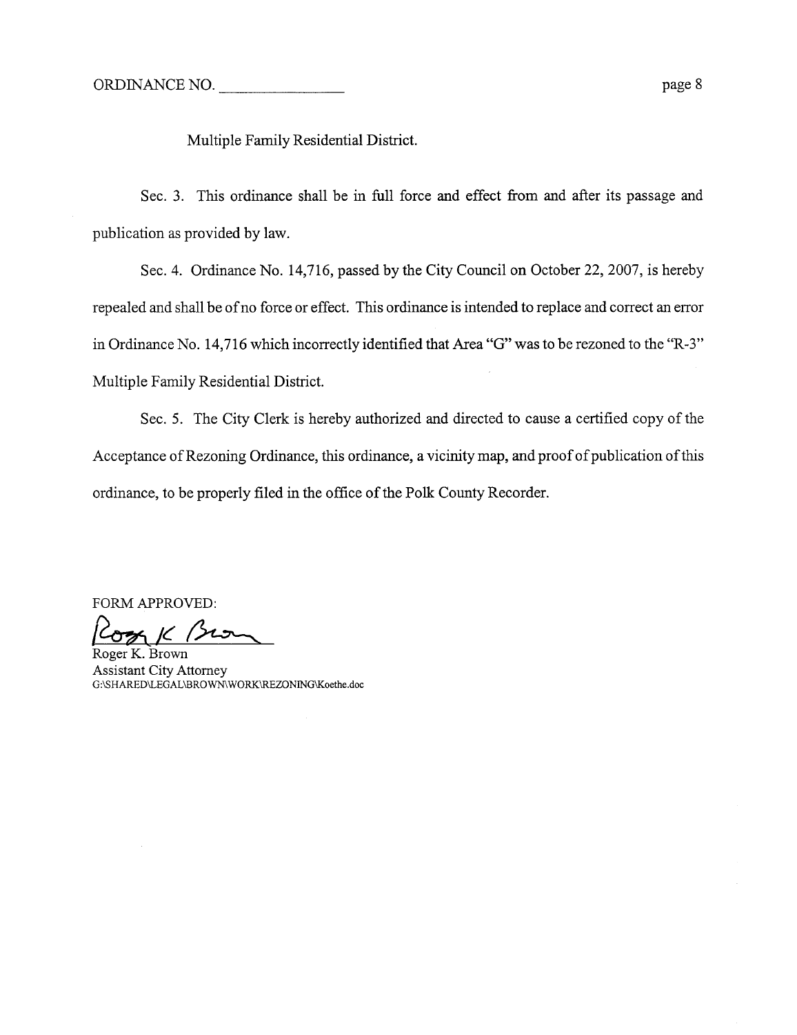Multiple Family Residential District.

Sec. 3. This ordinance shall be in full force and effect from and after its passage and publication as provided by law.

Sec. 4. Ordinance No. 14,716, passed by the City Council on October 22, 2007, is hereby repealed and shall be of no force or effect. This ordinance is intended to replace and correct an error in Ordinance No. 14,716 which incorrectly identified that Area "G" was to be rezoned to the "R-3" Multiple Family Residential District.

Sec. 5. The City Clerk is hereby authorized and directed to cause a certified copy of the Acceptance of Rezoning Ordinance, this ordinance, a vicinity map, and proof of publication of this ordinance, to be properly filed in the office of the Polk County Recorder.

FORM APPROVED:<br>Correct K. Brown

Assistant City Attorney G:\SHARED\LEGAL\BROWN WORK\RZONING\Koethe.doc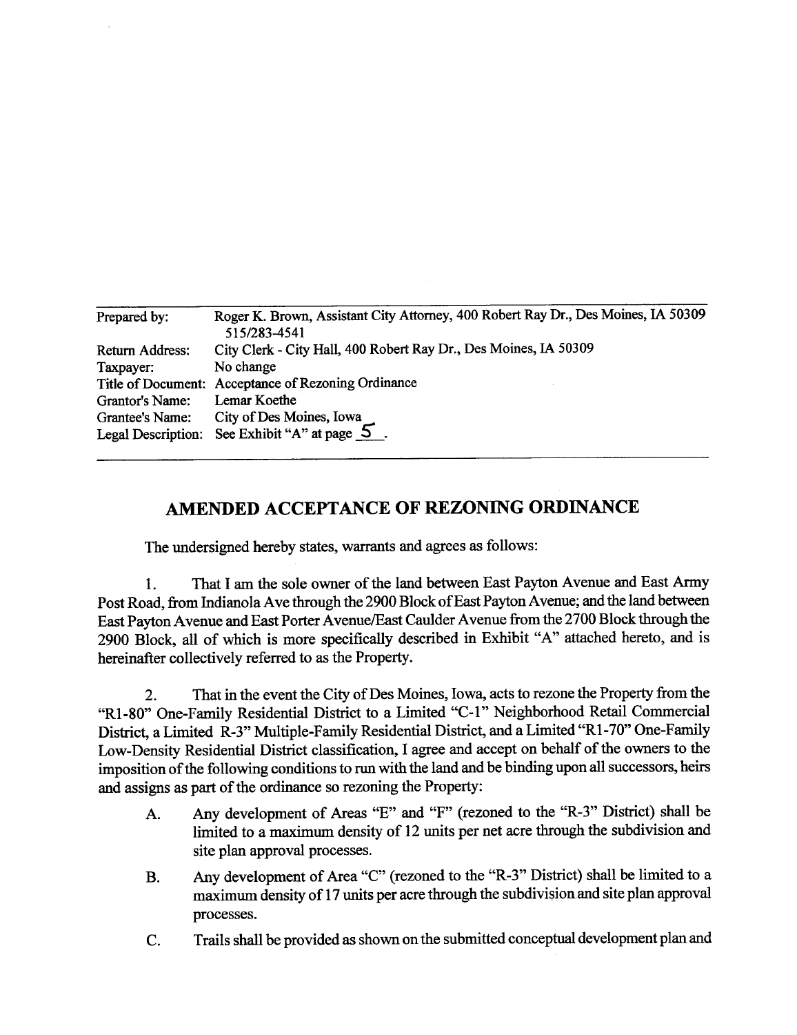|                    | Roger K. Brown, Assistant City Attorney, 400 Robert Ray Dr., Des Moines, IA 50309 |
|--------------------|-----------------------------------------------------------------------------------|
| Prepared by:       | 515/283-4541                                                                      |
| Return Address:    | City Clerk - City Hall, 400 Robert Ray Dr., Des Moines, IA 50309                  |
| Taxpayer:          | No change                                                                         |
|                    | Title of Document: Acceptance of Rezoning Ordinance                               |
| Grantor's Name:    | Lemar Koethe                                                                      |
| Grantee's Name:    | City of Des Moines, Iowa                                                          |
| Legal Description: | See Exhibit "A" at page $5$ .                                                     |

## AMENDED ACCEPTANCE OF REZONING ORDINANCE

The undersigned hereby states, warants and agrees as follows:

1. That I am the sole owner of the land between East Payton Avenue and East Army Post Road, from Indianola Ave through the 2900 Block of East Payton Avenue; and the land between East Payton Avenue and East Porter Avenue/East Caulder Avenue from the 2700 Block through the 2900 Block, all of which is more specifically described in Exhibit "A" attached hereto, and is hereinafter collectively referred to as the Property.

2. That in the event the City of Des Moines, Iowa, acts to rezone the Property from the "R1-80" One-Family Residential District to a Limited "C-1" Neighborhood Retail Commercial District, a Limited R-3" Multiple-Family Residential District, and a Limited "R1-70" One-Family Low-Density Residential District classification, I agree and accept on behalf of the owners to the imposition of the following conditions to run with the land and be binding upon all successors, heirs and assigns as part of the ordinance so rezoning the Property:

- A. Any development of Areas "E" and "F" (rezoned to the "R-3" District) shall be limited to a maximum density of 12 units per net acre through the subdivision and site plan approval processes.
- B. Any development of Area "C" (rezoned to the "R-3" District) shall be limited to a maximum density of 17 units per acre through the subdivision and site plan approval processes.
- C. Trails shall be provided as shown on the submitted conceptual development plan and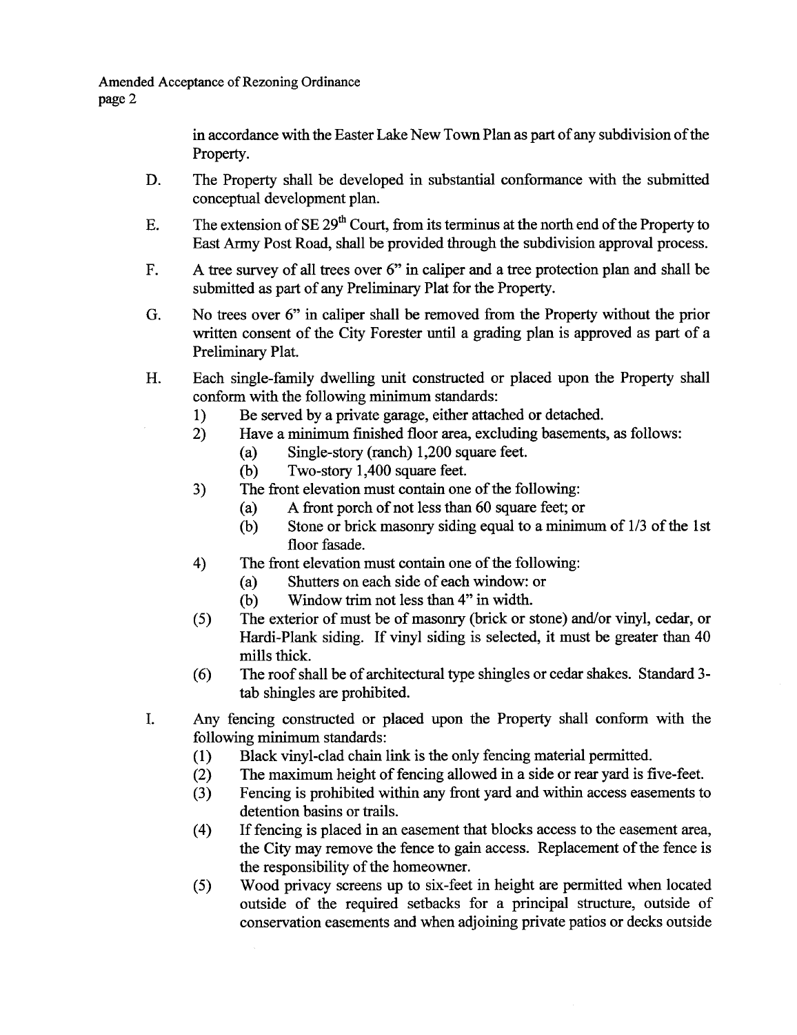Amended Acceptance of Rezoning Ordinance page 2

> in accordance with the Easter Lake New Town Plan as part of any subdivision of the Property.

- D. The Property shall be developed in substantial conformance with the submitted conceptul development plan.
- E. The extension of SE  $29<sup>th</sup>$  Court, from its terminus at the north end of the Property to East Army Post Road, shall be provided through the subdivision approval process.
- F. A tree survey of all trees over 6" in caliper and a tree protection plan and shall be submitted as part of any Preliminary Plat for the Property.
- G. No trees over 6" in caliper shall be removed from the Property without the prior written consent of the City Forester until a grading plan is approved as part of a Preliminary Plat.
- H. Each single-family dwelling unit constructed or placed upon the Property shall conform with the following minimum standards:
	- 1) Be served by a private garage, either attached or detached.
	- 2) Have a minimum finished floor area, excluding basements, as follows:
		- (a) Single-story (ranch) 1,200 square feet.<br>
		(b) Two-story 1,400 square feet.
		- Two-story 1,400 square feet.
	- 3) The front elevation must contain one of the followig:
		- (a) A front porch of not less than 60 square feet; or
		- (b) Stone or brick masonry siding equal to a minimum of  $1/3$  of the 1st floor fasade.
	- 4) The front elevation must contain one of the following:
		- (a) Shutters on each side of each window: or<br>
		(b) Window trim not less than  $4$ " in width.
		- Window trim not less than 4" in width.
	- (5) The exterior of must be of masonry (brick or stone) and/or vinyl, cedar, or Hardi-Plank siding. If vinyl siding is selected, it must be greater than 40 mills thick.
	- (6) The roof shall be of architectural type shingles or cedar shakes. Standard 3tab shingles are prohibited.
- 1. Any fencing constructed or placed upon the Property shall conform with the following minimum standards:
	- (1) Black vinyl-clad chain link is the only fencing material permitted.<br>
	(2) The maximum height of fencing allowed in a side or rear yard is first
	- (2) The maximum height of fencing allowed in a side or rear yard is five-feet.<br>(3) Fencing is prohibited within any front yard and within access easements to
	- Fencing is prohibited within any front yard and within access easements to detention basins or trails.
	- (4) If fencing is placed in an easement that blocks access to the easement area, the City may remove the fence to gain access. Replacement of the fence is the responsibility of the homeowner.
	- (5) Wood privacy screens up to six-feet in height are permtted when located outside of the required setbacks for a principal structure, outside of conservation easements and when adjoining private patios or decks outside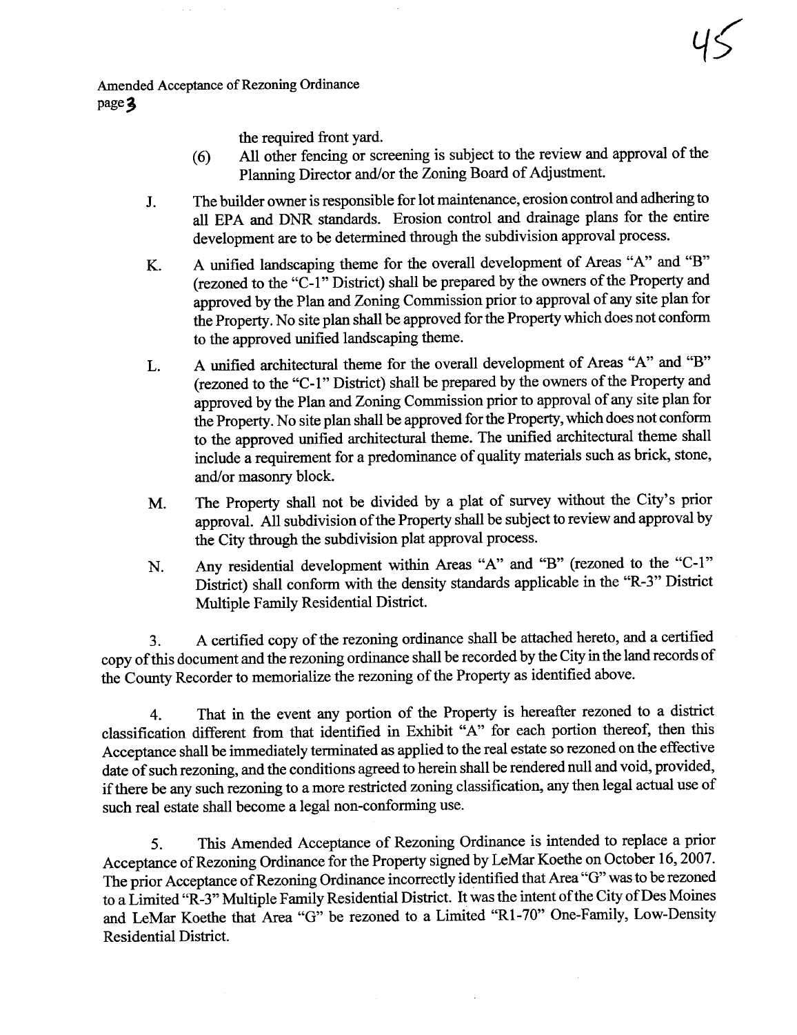Amended Acceptance of Rezoning Ordinance page 3

the required front yard.

(6) All other fencing or screenig is subject to the review and approval of the Planning Director and/or the Zoning Board of Adjustment.

45

- J. The builder owner is responsible for lot maintenance, erosion control and adhering to all EPA and DNR standards. Erosion control and drainage plans for the entire development are to be determined through the subdivision approval process.
- K. A unified landscaping theme for the overall development of Areas "A" and "B" (rezoned to the "C-1" District) shall be prepared by the owners of the Property and approved by the Plan and Zoning Commssion prior to approval of any site plan for the Property. No site plan shall be approved for the Property which does not conform to the approved unfied landscaping theme.
- L. A unified architectural theme for the overall development of Areas "A" and "B" approved by the Plan and Zoning Commission prior to approval of any site plan for (rezoned to the "C-1" District) shall be prepared by the owners of the Property and the Property. No site plan shall be approved for the Property, which does not conform to the approved unfied architectual theme. The unfied architectual theme shall include a requirement for a predominance of quality materials such as brick, stone, and/or masonry block.
- M. The Property shall not be divided by a plat of survey without the City's prior approval. All subdivision of the Property shall be subject to review and approval by the City through the subdivision plat approval process.
- N. Any residential development within Areas "A" and "B" (rezoned to the "C-1" District) shall conform with the density standards applicable in the "R-3" District Multiple Famly Residential District.

3. A certified copy of the rezoning ordinance shall be attached hereto, and a certified copy of ths document and the rezonig ordinance shall be recorded by the City in the land records of the County Recorder to memorialize the rezoning of the Property as identified above.

4. That in the event any portion of the Property is hereafter rezoned to a district classification different from that identified in Exhibit "A" for each portion thereof, then this Acceptance shall be imediately terminated as applied to the real estate so rezoned on the effective date of such rezoning, and the conditions agreed to herein shall be rendered null and void, provided, if there be any such rezoning to a more restricted zoning classification, any then legal actual use of such real estate shall become a legal non-conforming use.

5. This Amended Acceptance of Rezoning Ordinance is intended to replace a prior Acceptance of Rezoning Ordinance for the Property signed by LeMar Koethe on October 16, 2007. The prior Acceptance of Rezoning Ordinance incorrectly identified that Area "G" was to be rezoned to a Limited "R-3" Multiple Family Residential District. It was the intent of the City of Des Moines and LeMar Koethe that Area "G" be rezoned to a Limited "RI-70" One-Famly, Low-Density Residential District.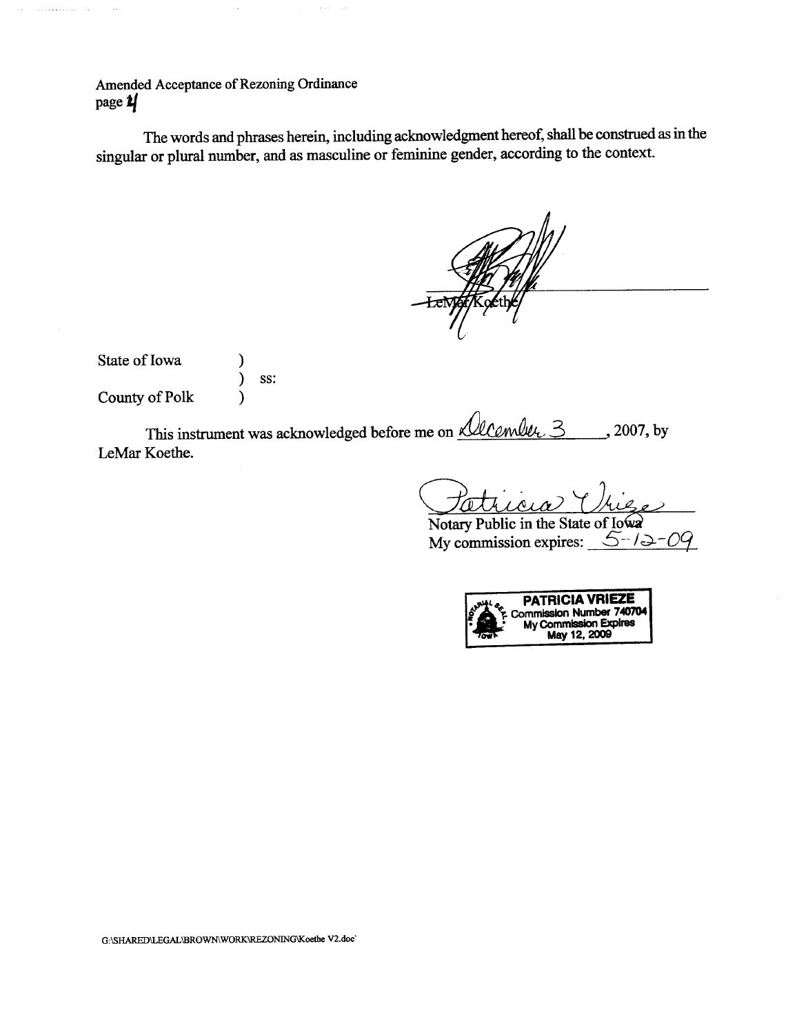Amended Acceptance of Rezoning Ordinance page  $\frac{1}{2}$ 

 $\sim$ 

 $\sim$ 

The words and phrases herein, including acknowledgment hereof, shall be construed as in the singular or plural number, and as masculine or feminine gender, according to the context.

 $\omega_{\rm{max}}$ 

| State of Iowa  |     |
|----------------|-----|
|                | SS: |
| County of Polk |     |

This instrument was acknowledged before me on *Alcember*, 3 leMar Koethe. ,2007, by

Patricia Unie

My commission expires:  $5-12-09$ 

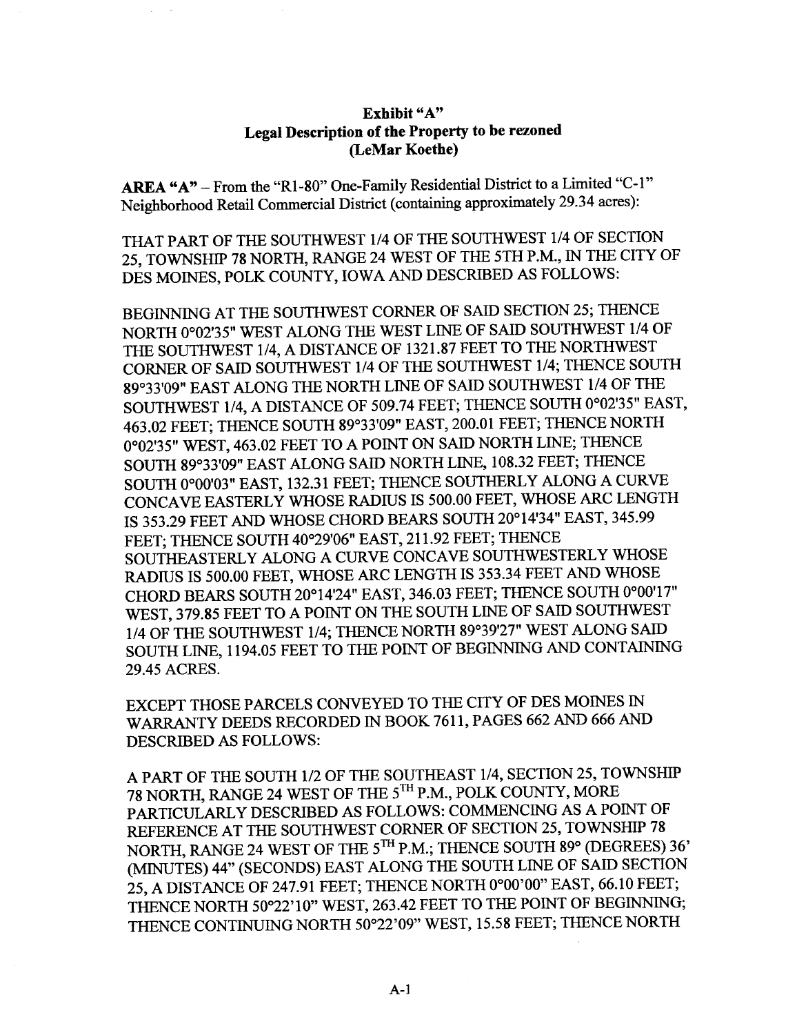## Exhibit "A" Legal Description of the Property to be rezoned (LeMar Koethe)

AREA "A" - From the "R1-80" One-Family Residential District to a Limited "C-1" Neighborhood Retail Commercial District (containing approximately 29.34 acres):

THAT PART OF THE SOUTHWEST 1/4 OF THE SOUTHWEST 1/4 OF SECTION 25, TOWNSHIP 78 NORTH, RANGE 24 WEST OF THE 5TH P.M., IN THE CITY OF DES MOINES, POLK COUNTY, IOWA AND DESCRIBED AS FOLLOWS:

BEGINNING AT THE SOUTHWEST CORNER OF SAID SECTION 25; THENCE NORTH 0°02'35" WEST ALONG THE WEST LINE OF SAID SOUTHWEST 1/4 OF THE SOUTHWEST 1/4, A DISTANCE OF 1321.87 FEET TO THE NORTHWEST CORNR OF SAID SOUTHWEST 1/4 OF THE SOUTHWEST 1/4; THENCE SOUTH 89033'09" EAST ALONG THE NORTH LINE OF SAID SOUTHWEST 1/4 OF TH SOUTHWEST 1/4, A DISTANCE OF 509.74 FEET; THENCE SOUTH 0°02'35" EAST, 463.02 FEET; THENCE SOUTH 89°33'09" EAST, 200.01 FEET; THENCE NORTH 0°02'35" WEST, 463.02 FEET TO A POINT ON SAID NORTH LINE; THENCE SOUTH 89°33'09" EAST ALONG SAID NORTH LINE, 108.32 FEET; THENCE SOUTH 0°00'03" EAST, 132.31 FEET; THENCE SOUTHERLY ALONG A CURVE CONCAVE EASTERLY WHOSE RADIUS IS 500.00 FEET, WHOSE ARC LENGTH IS 353.29 FEET AND WHOSE CHORD BEARS SOUTH 20°14'34" EAST, 345.99 FEET; THENCE SOUTH 40°29'06" EAST, 211.92 FEET; THENCE SOUTHEASTERLY ALONG A CURVE CONCAVE SOUTHWESTERLY WHOSE RADIUS IS 500.00 FEET, WHOSE ARC LENGTH IS 353.34 FEET AND WHOSE CHORD BEARS SOUTH 20°14'24" EAST, 346.03 FEET; THENCE SOUTH 0°00'17" WEST, 379.85 FEET TO A POINT ON THE SOUTH LINE OF SAID SOUTHWEST 1/4 OF THE SOUTHWEST 1/4; THENCE NORTH 89°39'27" WEST ALONG SAID SOUTH LINE, 1194.05 FEET TO THE POINT OF BEGINNING AND CONTAINING 29.45 ACRES.

EXCEPT THOSE PARCELS CONVEYED TO THE CITY OF DES MOINS IN WARRANTY DEEDS RECORDED IN BOOK 7611, PAGES 662 AND 666 AND DESCRIBED AS FOLLOWS:

APART OF THE SOUTH 1/2 OF THE SOUTHEAST 1/4, SECTION 25, TOWNSHIP 78 NORTH, RAGE 24 WEST OF THE 5TH P.M., POLK COUNTY, MORE PARTICULARLY DESCRIBED AS FOLLOWS: COMMENCING AS A POINT OF REFERENCE AT THE SOUTHWEST CORNER OF SECTION 25, TOWNSHIP 78 NORTH, RANGE 24 WEST OF THE 5TH P.M.; THENCE SOUTH 89° (DEGREES) 36' (MINTES) 44" (SECONDS) EAST ALONG THE SOUTH LINE OF SAID SECTION 25, A DISTANCE OF 247.91 FEET; THENCE NORTH 0°00'00" EAST, 66.10 FEET; THENCE NORTH 50°22'10" WEST, 263.42 FEET TO THE POINT OF BEGINING; THENCE CONTINUING NORTH 50°22'09" WEST, 15.58 FEET; THENCE NORTH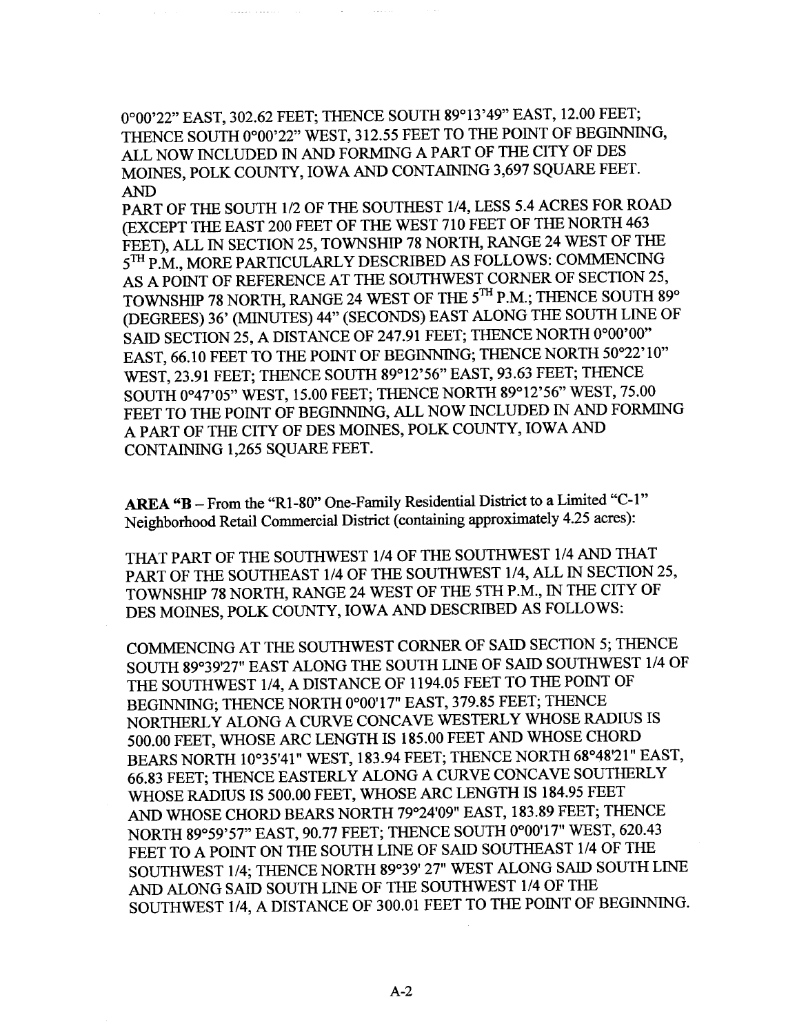0°00'22" EAST, 302.62 FEET; THENCE SOUTH 89°13'49" EAST, 12.00 FEET; THENCE SOUTH 0°00'22" WEST, 312.55 FEET TO THE POINT OF BEGINNING, ALL NOW INCLUDED IN AND FORMING A PART OF THE CITY OF DES MOINES, POLK COUNTY, IOWA AND CONTAINING 3,697 SQUARE FEET. AN

المتفقف المفقية

PART OF THE SOUTH 1/2 OF THE SOUTHEST 1/4, LESS 5.4 ACRES FOR ROAD (EXCEPT THE EAST 200 FEET OF THE WEST 710 FEET OF THE NORTH 463 FEET), ALL IN SECTION 25, TOWNSHIP 78 NORTH, RANGE 24 WEST OF THE 5TH P.M., MORE PARTICULARLY DESCRIBED AS FOLLOWS: COMMENCING AS A POINT OF REFERENCE AT THE SOUTHWEST CORNER OF SECTION 25, TOWNSHIP 78 NORTH, RANGE 24 WEST OF THE 5TH P.M.; THENCE SOUTH 89° (DEGREES) 36' (MINUTES) 44" (SECONDS) EAST ALONG THE SOUTH LINE OF SAID SECTION 25, A DISTANCE OF 247.91 FEET; THENCE NORTH 0°00'00" EAST, 66.10 FEET TO THE POINT OF BEGINNING; THENCE NORTH 50°22'10" WEST, 23.91 FEET; THENCE SOUTH 89°12'56" EAST, 93.63 FEET; THENCE SOUTH 0°47'05" WEST, 15.00 FEET; THENCE NORTH 89°12'56" WEST, 75.00 FEET TO THE POINT OF BEGINNING, ALL NOW INCLUDED IN AND FORMING A PART OF THE CITY OF DES MOINES, POLK COUNTY, IOWA AN CONTAINING 1,265 SQUARE FEET.

AREA "B - From the "R1-80" One-Family Residential District to a Limited "C-1" Neighborhood Retail Commercial District (containing approximately 4.25 acres):

THAT PART OF THE SOUTHWEST 1/4 OF THE SOUTHWEST 1/4 AND THAT PART OF THE SOUTHAST 1/4 OF THE SOUTHWEST 1/4, ALL IN SECTION 25, TOWNSHIP 78 NORTH, RANGE 24 WEST OF THE 5TH P.M., IN THE CITY OF DES MOINES, POLK COUNTY, IOWA AND DESCRIBED AS FOLLOWS:

COMMENCING AT THE SOUTHWEST CORNER OF SAID SECTION 5; THENCE SOUTH 89°39'27" EAST ALONG THE SOUTH LINE OF SAID SOUTHWEST 1/4 OF THE SOUTHWEST 1/4, A DISTANCE OF 1194.05 FEET TO THE POINT OF BEGINING; THENCE NORTH 0°00'17" EAST, 379.85 FEET; THENCE NORTHERLY ALONG A CURVE CONCAVE WESTERLY WHOSE RADIUS IS 500.00 FEET, WHOSE ARC LENGTH IS 185.00 FEET AND WHOSE CHORD BEARS NORTH 10°35'41" WEST, 183.94 FEET; THENCE NORTH 68°48'21" EAST, 66.83 FEET; THENCE EASTERLY ALONG A CURVE CONCAVE SOUTHERLY WHOSE RADIUS IS 500.00 FEET, WHOSE ARC LENGTH IS 184.95 FEET AND WHOSE CHORD BEARS NORTH 79°24'09" EAST, 183.89 FEET; THENCE NORTH 89°59'57" EAST, 90.77 FEET; THENCE SOUTH 0°00'17" WEST, 620.43 FEET TO A POINT ON THE SOUTH LINE OF SAID SOUTHEAST 1/4 OF THE SOUTHWEST 1/4; THENCE NORTH 89°39' 27" WEST ALONG SAID SOUTH LINE AND ALONG SAID SOUTH LINE OF THE SOUTHWEST 1/4 OF THE SOUTHWEST 1/4, A DISTANCE OF 300.01 FEET TO THE POINT OF BEGINNING.